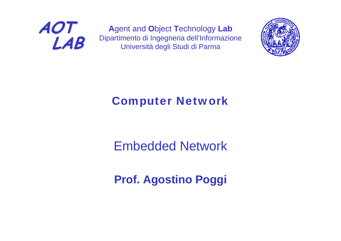

**A**gent and **O**bject **T**echnology **Lab** Dipartimento di Ingegneria dell'Informazione Università degli Studi di Parma



#### Computer Network

#### Embedded Network

#### **Prof. Agostino Poggi**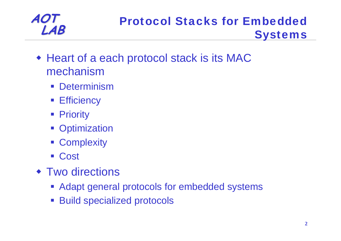#### **AOT LAB** Protocol Stacks for Embedded<br> **LAB** Systems

- Heart of a each protocol stack is its MAC mechanism
	- $\mathcal{L}(\mathcal{A})$ **Determinism**
	- **Efficiency**
	- Priority
	- **Optimization**
	- **EXECOMPLEXELY**
	- Cost
- ◆ Two directions
	- **Adapt general protocols for embedded systems**
	- $\mathcal{L}^{\mathcal{L}}$ Build specialized protocols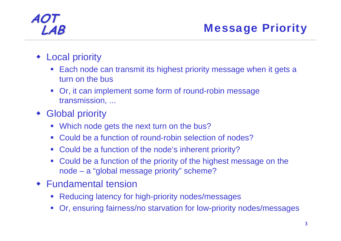#### **LAB** Message Priority

- Local priority
	- Each node can transmit its highest priority message when it gets a turn on the bus
	- Or, it can implement some form of round-robin message transmission, ...
- Global priority
	- Which node gets the next turn on the bus?
	- Could be a function of round-robin selection of nodes?
	- Could be a function of the node's inherent priority?
	- Could be a function of the priority of the highest message on the node – <sup>a</sup>"global message priority" scheme?
- Fundamental tension
	- $\mathcal{L}_{\mathcal{A}}$ Reducing latency for high-priority nodes/messages
	- Or, ensuring fairness/no starvation for low-priority nodes/messages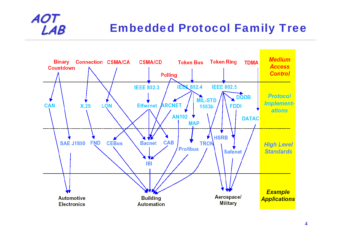#### **Embedded Protocol Family Tree**

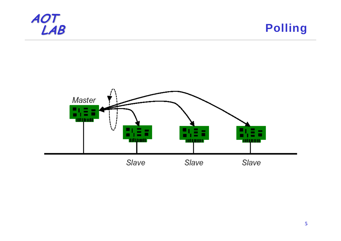

**Polling** 

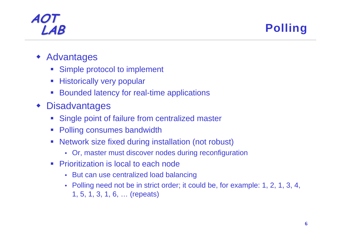**LAB** Polling

- ♦ Advantages
	- Simple protocol to implement
	- $\mathcal{L}_{\mathcal{A}}$ Historically very popular
	- Bounded latency for real-time applications
- Disadvantages
	- Single point of failure from centralized master
	- $\mathcal{L}(\mathcal{A})$ Polling consumes bandwidth
	- $\mathcal{L}_{\mathcal{A}}$  Network size fixed during installation (not robust)
		- Or, master must discover nodes during reconfiguration
	- Prioritization is local to each node
		- But can use centralized load balancing
		- Polling need not be in strict order; it could be, for example: 1, 2, 1, 3, 4, 1, 5, 1, 3, 1, 6, … (repeats)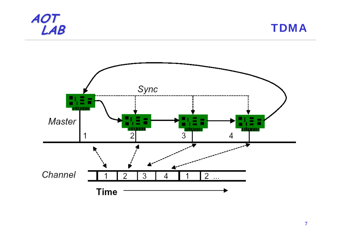



**7**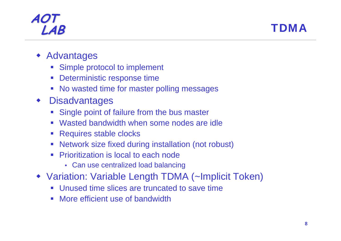

- ♦ Advantages
	- $\overline{\mathbb{Z}}$ Simple protocol to implement
	- **Deterministic response time**
	- No wasted time for master polling messages
- ♦ **Disadvantages** 
	- Single point of failure from the bus master
	- Wasted bandwidth when some nodes are idle
	- $\left\vert \cdot \right\rangle$ Requires stable clocks
	- Network size fixed during installation (not robust)
	- Prioritization is local to each node
		- Can use centralized load balancing
- Variation: Variable Length TDMA (~Implicit Token)
	- Unused time slices are truncated to save time
	- More efficient use of bandwidth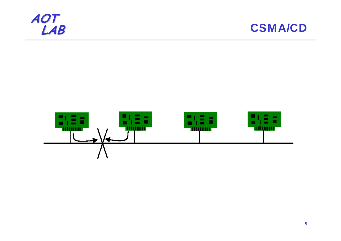



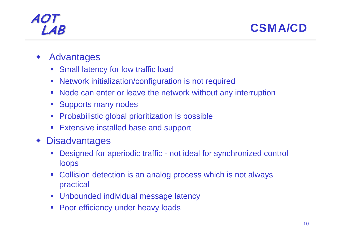**LAB** CSMA/CD

- ♦ Advantages
	- Small latency for low traffic load
	- $\mathcal{C}_{\mathcal{A}}$ Network initialization/configuration is not required
	- $\mathcal{L}_{\mathcal{A}}$ Node can enter or leave the network without any interruption
	- $\mathcal{L}^{\mathcal{A}}$ Supports many nodes
	- $\mathcal{C}_{\mathcal{A}}$ Probabilistic global prioritization is possible
	- $\mathcal{L}_{\mathcal{A}}$ Extensive installed base and support
- ♦ **Disadvantages** 
	- **Service Service**  Designed for aperiodic traffic - not ideal for synchronized control loops
	- $\mathcal{L}_{\mathcal{A}}$  Collision detection is an analog process which is not always practical
	- Unbounded individual message latency
	- $\mathcal{L}^{\text{eff}}$ Poor efficiency under heavy loads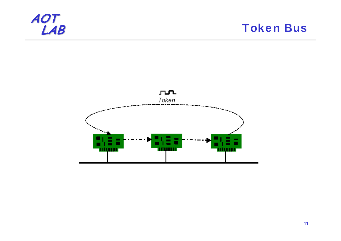

**Token Bus** 

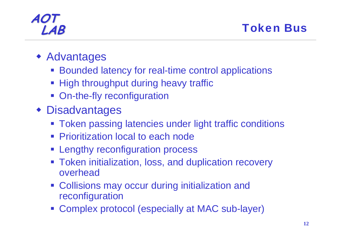#### **LAB** Token Bus

- Advantages
	- **Bounded latency for real-time control applications**
	- **High throughput during heavy traffic**
	- **On-the-fly reconfiguration**
- Disadvantages
	- **Token passing latencies under light traffic conditions**
	- **Prioritization local to each node**
	- **Example 1 Figure 1 Figure 1 Figure 1 Figure 1 Figure 1 Figure 1 Figure 1 Figure 1 Figure 1 Figure 1 Figure 1 Figure 1 Figure 1 Figure 1 Figure 1 Figure 1 Figure 1 Figure 1 Figure 1 Figure 1 Figure 1 Figure 1 Figure 1 Figu**
	- **Token initialization, loss, and duplication recovery** overhead
	- **Collisions may occur during initialization and** reconfiguration
	- Complex protocol (especially at MAC sub-layer)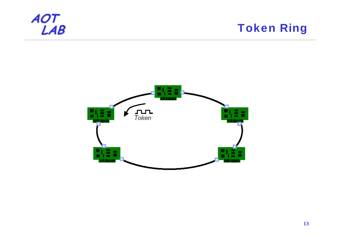

**Token Ring** 

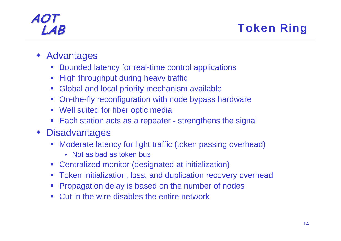#### **LAB** Token Ring

- ♦ Advantages
	- $\mathbb{Z}^{\mathbb{Z}}$ Bounded latency for real-time control applications
	- $\mathcal{L}^{\mathcal{A}}_{\mathcal{A}}$ High throughput during heavy traffic
	- $\mathcal{L}_{\mathrm{max}}$ Global and local priority mechanism available
	- On-the-fly reconfiguration with node bypass hardware
	- Well suited for fiber optic media
	- $\mathcal{L}_{\mathcal{A}}$ Each station acts as a repeater - strengthens the signal
- ♦ **Disadvantages** 
	- Moderate latency for light traffic (token passing overhead)
		- Not as bad as token bus
	- Centralized monitor (designated at initialization)
	- Token initialization, loss, and duplication recovery overhead
	- **Service Service** Propagation delay is based on the number of nodes
	- **Cut in the wire disables the entire network**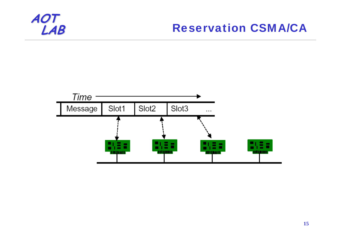#### **Reservation CSMA/CA**

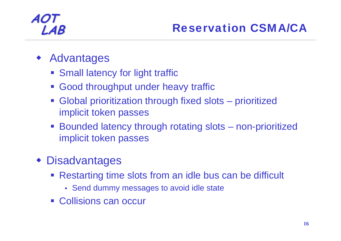#### ♦ Advantages

- **Small latency for light traffic**
- **Good throughput under heavy traffic**
- Global prioritization through fixed slots prioritized implicit token passes
- Bounded latency through rotating slots non-prioritized implicit token passes

#### Disadvantages

- Restarting time slots from an idle bus can be difficult
	- Send dummy messages to avoid idle state
- Collisions can occur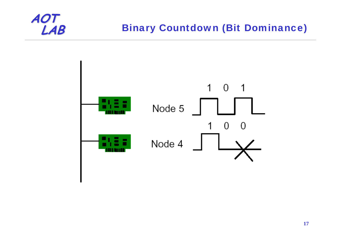

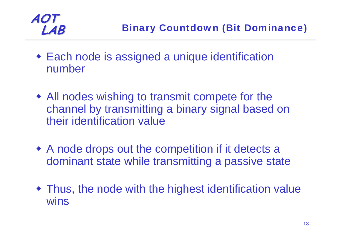

- Each node is assigned a unique identification number
- All nodes wishing to transmit compete for the channel by transmitting a binary signal based on their identification value
- A node drops out the competition if it detects a dominant state while transmitting a passive state
- Thus, the node with the highest identification value wins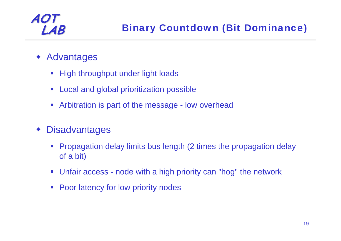- ♦ Advantages
	- High throughput under light loads
	- $\mathcal{L}_{\mathrm{eff}}$ Local and global prioritization possible
	- $\mathcal{L}_{\mathcal{A}}$ Arbitration is part of the message - low overhead
- ♦ **Disadvantages** 
	- Propagation delay limits bus length (2 times the propagation delay of a bit)
	- Unfair access node with a high priority can "hog" the network
	- $\mathcal{L}^{\mathcal{A}}$ Poor latency for low priority nodes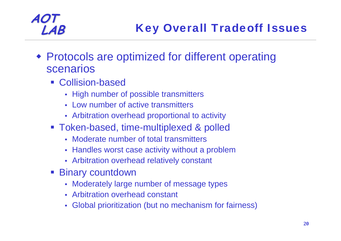- Protocols are optimized for different operating scenarios
	- **Collision-based** 
		- High number of possible transmitters
		- Low number of active transmitters
		- Arbitration overhead proportional to activity
	- Token-based, time-multiplexed & polled
		- Moderate number of total transmitters
		- Handles worst case activity without a problem
		- Arbitration overhead relatively constant
	- **Binary countdown** 
		- Moderately large number of message types
		- Arbitration overhead constant
		- Global prioritization (but no mechanism for fairness)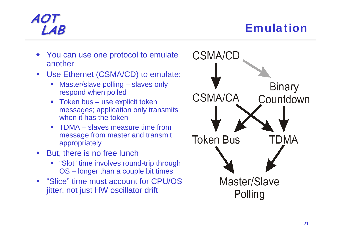#### **LAB** Emulation

- You can use one protocol to emulate another
- ♦ Use Ethernet (CSMA/CD) to emulate:
	- Г Master/slave polling – slaves only respond when polled
	- Token bus use explicit token messages; application only transmits when it has the token
	- Г TDMA – slaves measure time from message from master and transmit appropriately
- ♦ But, there is no free lunch
	- **Slot**" time involves round-trip through OS – longer than a couple bit times
- "Slice" time must account for CPU/OS jitter, not just HW oscillator drift

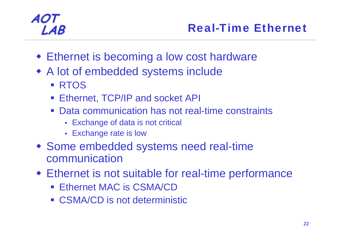- Ethernet is becoming a low cost hardware
- A lot of embedded systems include
	- **RTOS**
	- Ethernet, TCP/IP and socket API
	- Data communication has not real-time constraints
		- Exchange of data is not critical
		- Exchange rate is low
- Some embedded systems need real-time communication
- Ethernet is not suitable for real-time performance
	- Ethernet MAC is CSMA/CD
	- CSMA/CD is not deterministic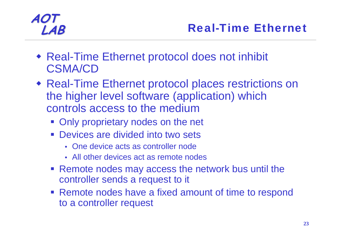- Real-Time Ethernet protocol does not inhibit CSMA/CD
- Real-Time Ethernet protocol places restrictions on the higher level software (application) which controls access to the medium
	- **Only proprietary nodes on the net**
	- **Devices are divided into two sets** 
		- One device acts as controller node
		- All other devices act as remote nodes
	- **Remote nodes may access the network bus until the** controller sends a request to it
	- **Remote nodes have a fixed amount of time to respond** to a controller request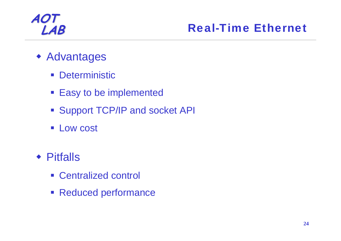#### **LAB** Real-Time Ethernet

- Advantages
	- $\mathcal{L}^{\text{max}}$ **Deterministic**
	- Easy to be implemented
	- **Support TCP/IP and socket API**
	- **ELOW COST**
- Pitfalls
	- Centralized control
	- **Reduced performance**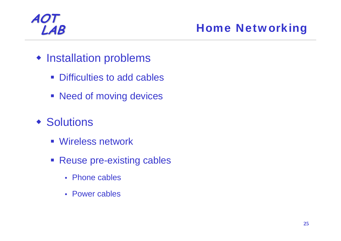#### **LAB** Home Networking

- **Installation problems** 
	- **Difficulties to add cables**
	- **Need of moving devices**
- ◆ Solutions
	- Wireless network
	- Reuse pre-existing cables
		- Phone cables
		- Power cables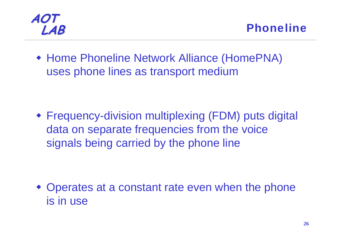

 Home Phoneline Network Alliance (HomePNA) uses phone lines as transport medium

 Frequency-division multiplexing (FDM) puts digital data on separate frequencies from the voice signals being carried by the phone line

 Operates at a constant rate even when the phone is in use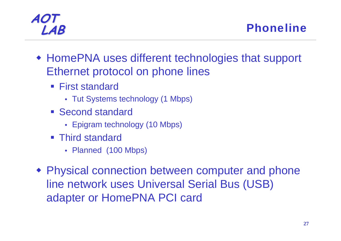#### **LAB** Phoneline

- HomePNA uses different technologies that support Ethernet protocol on phone lines
	- First standard
		- Tut Systems technology (1 Mbps)
	- **Second standard** 
		- Epigram technology (10 Mbps)
	- Third standard
		- Planned (100 Mbps)
- Physical connection between computer and phone line network uses Universal Serial Bus (USB) adapter or HomePNA PCI card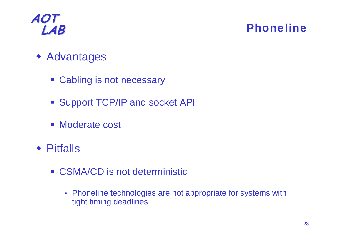**LAB** Phoneline

- Advantages
	- **Cabling is not necessary**
	- **Support TCP/IP and socket API**
	- Moderate cost
- Pitfalls
	- CSMA/CD is not deterministic
		- Phoneline technologies are not appropriate for systems with tight timing deadlines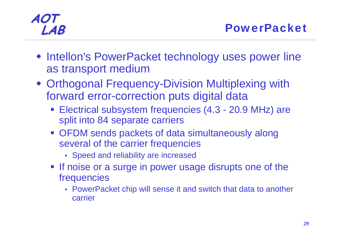- **Intellon's PowerPacket technology uses power line** as transport medium
- Orthogonal Frequency-Division Multiplexing with forward error-correction puts digital data
	- Electrical subsystem frequencies (4.3 20.9 MHz) are split into 84 separate carriers
	- OFDM sends packets of data simultaneously along several of the carrier frequencies
		- Speed and reliability are increased
	- **If noise or a surge in power usage disrupts one of the** frequencies
		- PowerPacket chip will sense it and switch that data to another carrier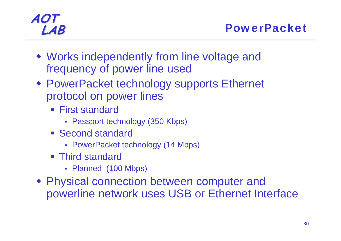- Works independently from line voltage and frequency of power line used
- PowerPacket technology supports Ethernet protocol on power lines
	- First standard
		- Passport technology (350 Kbps)
	- **Second standard** 
		- PowerPacket technology (14 Mbps)
	- Third standard
		- Planned (100 Mbps)
- Physical connection between computer and powerline network uses USB or Ethernet Interface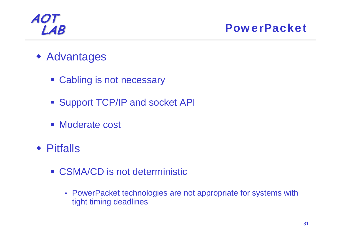**LAB** PowerPacket

- Advantages
	- **Cabling is not necessary**
	- **Support TCP/IP and socket API**
	- Moderate cost
- Pitfalls
	- CSMA/CD is not deterministic
		- PowerPacket technologies are not appropriate for systems with tight timing deadlines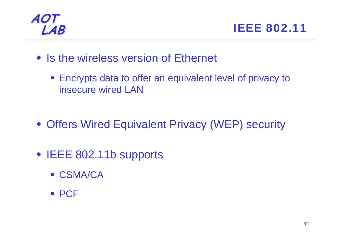

**LAB** IEEE 802.11

- Is the wireless version of Ethernet
	- **Encrypts data to offer an equivalent level of privacy to** insecure wired LAN

- Offers Wired Equivalent Privacy (WEP) security
- IEEE 802.11b supports
	- CSMA/CA
	- PCF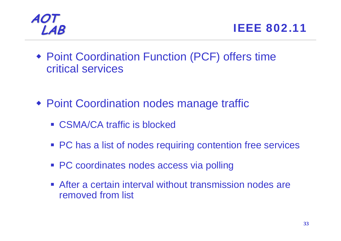



- Point Coordination Function (PCF) offers time critical services
- Point Coordination nodes manage traffic
	- CSMA/CA traffic is blocked
	- **PC** has a list of nodes requiring contention free services
	- **PC coordinates nodes access via polling**
	- **After a certain interval without transmission nodes are** removed from list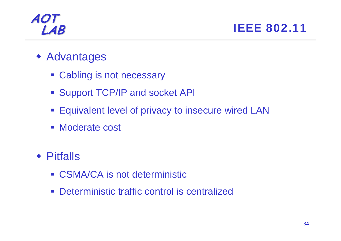**LAB IEEE 802.11** 

- Advantages
	- **Cabling is not necessary**
	- **Support TCP/IP and socket API**
	- **Equivalent level of privacy to insecure wired LAN**
	- Moderate cost
- Pitfalls
	- CSMA/CA is not deterministic
	- $\mathcal{L}^{\text{max}}$ Deterministic traffic control is centralized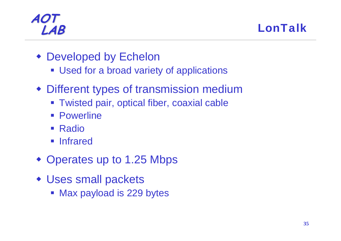**LAB** LonTalk

- Developed by Echelon
	- **Used for a broad variety of applications**
- Different types of transmission medium
	- **Twisted pair, optical fiber, coaxial cable**
	- Powerline
	- Radio
	- **Infrared**
- Operates up to 1.25 Mbps
- Uses small packets
	- Max payload is 229 bytes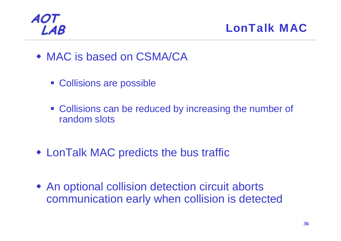**LAB** LonTalk MAC

- MAC is based on CSMA/CA
	- Collisions are possible
	- **Collisions can be reduced by increasing the number of** random slots
- LonTalk MAC predicts the bus traffic
- An optional collision detection circuit aborts communication early when collision is detected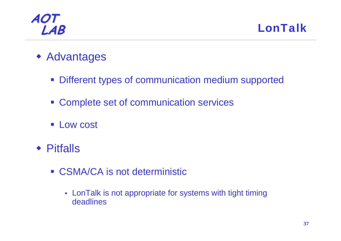**LAB** LonTalk

- Advantages
	- **Different types of communication medium supported**
	- **EX Complete set of communication services**
	- **Low cost**
- Pitfalls
	- CSMA/CA is not deterministic
		- LonTalk is not appropriate for systems with tight timing deadlines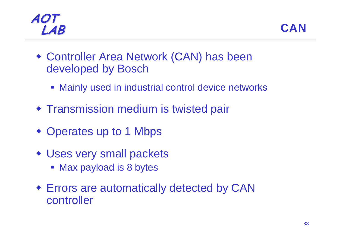



- Controller Area Network (CAN) has been developed by Bosch
	- **Mainly used in industrial control device networks**
- **Transmission medium is twisted pair**
- Operates up to 1 Mbps
- Uses very small packets
	- **Max payload is 8 bytes**
- Errors are automatically detected by CAN controller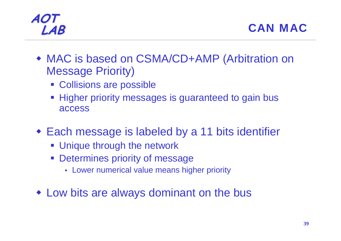

- ◆ MAC is based on CSMA/CD+AMP (Arbitration on Message Priority)
	- Collisions are possible
	- **Higher priority messages is guaranteed to gain bus** access
- Each message is labeled by a 11 bits identifier
	- **Unique through the network**
	- $\Box$  Determines priority of message
		- Lower numerical value means higher priority
- Low bits are always dominant on the bus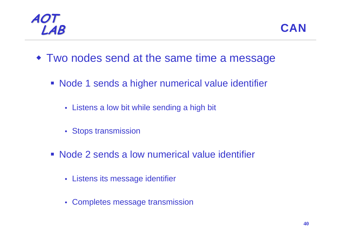

- Two nodes send at the same time a message
	- **Node 1 sends a higher numerical value identifier** 
		- Listens a low bit while sending a high bit
		- Stops transmission
	- Node 2 sends a low numerical value identifier
		- Listens its message identifier
		- Completes message transmission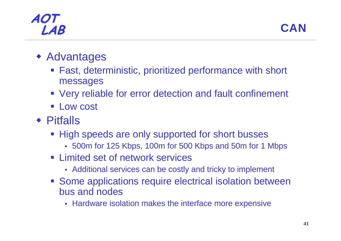#### **AOT LAB** CAN

#### Advantages

- Fast, deterministic, prioritized performance with short messages
- Very reliable for error detection and fault confinement
- **Low cost**
- Pitfalls
	- **High speeds are only supported for short busses** 
		- 500m for 125 Kbps, 100m for 500 Kbps and 50m for 1 Mbps
	- **EXA** Limited set of network services
		- Additional services can be costly and tricky to implement
	- **Some applications require electrical isolation between** bus and nodes
		- Hardware isolation makes the interface more expensive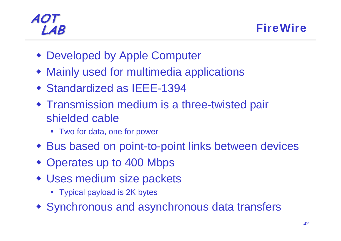**LAB** FireWire

- Developed by Apple Computer
- Mainly used for multimedia applications
- Standardized as IEEE-1394
- Transmission medium is a three-twisted pair shielded cable
	- Two for data, one for power
- Bus based on point-to-point links between devices
- Operates up to 400 Mbps
- Uses medium size packets
	- Typical payload is 2K bytes
- Synchronous and asynchronous data transfers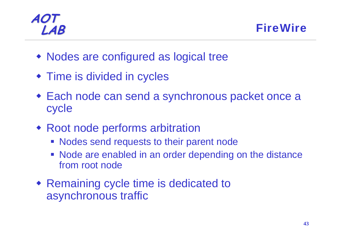**LAB** FireWire

- Nodes are configured as logical tree
- **Time is divided in cycles**
- Each node can send a synchronous packet once a cycle
- Root node performs arbitration
	- **Nodes send requests to their parent node**
	- Node are enabled in an order depending on the distance from root node
- Remaining cycle time is dedicated to asynchronous traffic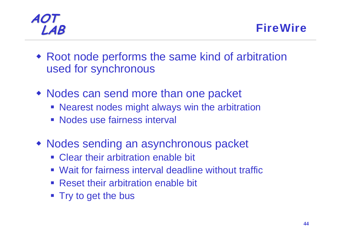- Root node performs the same kind of arbitration used for synchronous
- Nodes can send more than one packet
	- Nearest nodes might always win the arbitration
	- **Nodes use fairness interval**
- Nodes sending an asynchronous packet
	- **Clear their arbitration enable bit**
	- Wait for fairness interval deadline without traffic
	- **Reset their arbitration enable bit**
	- Try to get the bus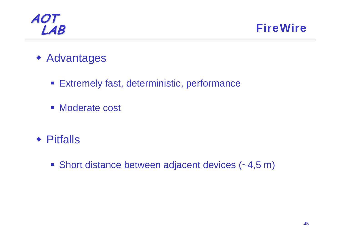

**FireWire** 

- Advantages
	- **Extremely fast, deterministic, performance**
	- Moderate cost
- Pitfalls
	- Short distance between adjacent devices (~4,5 m)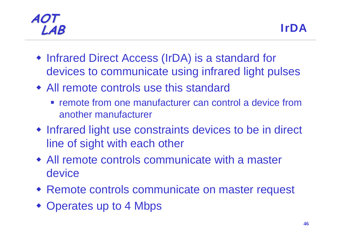#### **AOT LAB** IrDA

- Infrared Direct Access (IrDA) is a standard for devices to communicate using infrared light pulses
- All remote controls use this standard
	- **Figure 10 Fernote from one manufacturer can control a device from** another manufacturer
- Infrared light use constraints devices to be in direct line of sight with each other
- All remote controls communicate with a master device
- Remote controls communicate on master request
- Operates up to 4 Mbps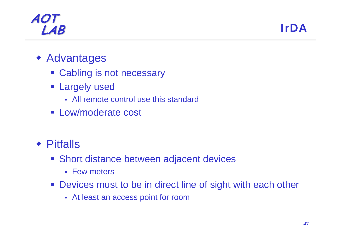#### **AOT LAB** IrDA

#### Advantages

- **Cabling is not necessary**
- **Example 1 Largely used** 
	- All remote control use this standard
- **ELow/moderate cost**
- Pitfalls
	- **Short distance between adjacent devices** 
		- Few meters
	- **Devices must to be in direct line of sight with each other** 
		- At least an access point for room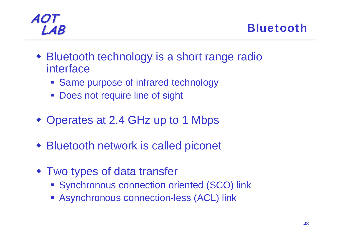



- Bluetooth technology is a short range radio interface
	- **Same purpose of infrared technology**
	- **Does not require line of sight**
- Operates at 2.4 GHz up to 1 Mbps
- Bluetooth network is called piconet
- Two types of data transfer
	- **Synchronous connection oriented (SCO) link**
	- **Asynchronous connection-less (ACL) link**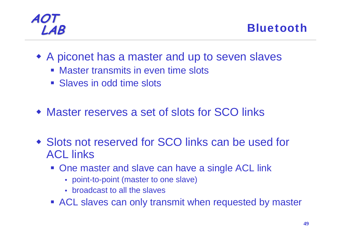**LAB** Bluetooth

- A piconet has a master and up to seven slaves
	- Master transmits in even time slots
	- **Slaves in odd time slots**
- Master reserves a set of slots for SCO links
- Slots not reserved for SCO links can be used for ACL links
	- **One master and slave can have a single ACL link** 
		- point-to-point (master to one slave)
		- broadcast to all the slaves
	- **ACL slaves can only transmit when requested by master**